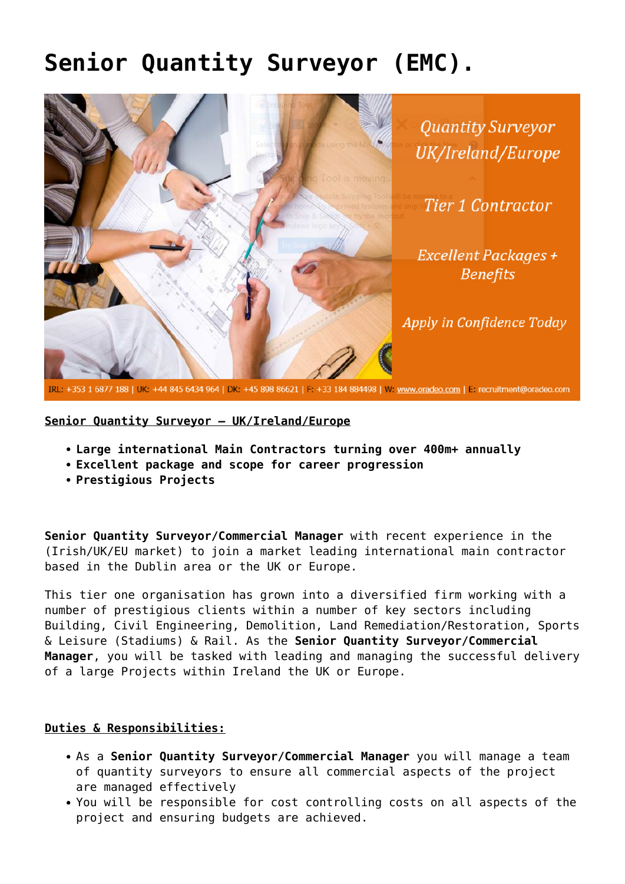## **[Senior Quantity Surveyor \(EMC\).](https://oradeo.com/job/senior-quantity-surveyor-emc-3/)**



**Senior Quantity Surveyor – UK/Ireland/Europe**

- **Large international Main Contractors turning over 400m+ annually**
- **Excellent package and scope for career progression**
- **Prestigious Projects**

**Senior Quantity Surveyor/Commercial Manager** with recent experience in the (Irish/UK/EU market) to join a market leading international main contractor based in the Dublin area or the UK or Europe.

This tier one organisation has grown into a diversified firm working with a number of prestigious clients within a number of key sectors including Building, Civil Engineering, Demolition, Land Remediation/Restoration, Sports & Leisure (Stadiums) & Rail. As the **Senior Quantity Surveyor/Commercial Manager**, you will be tasked with leading and managing the successful delivery of a large Projects within Ireland the UK or Europe.

## **Duties & Responsibilities:**

- As a **Senior Quantity Surveyor/Commercial Manager** you will manage a team of quantity surveyors to ensure all commercial aspects of the project are managed effectively
- You will be responsible for cost controlling costs on all aspects of the project and ensuring budgets are achieved.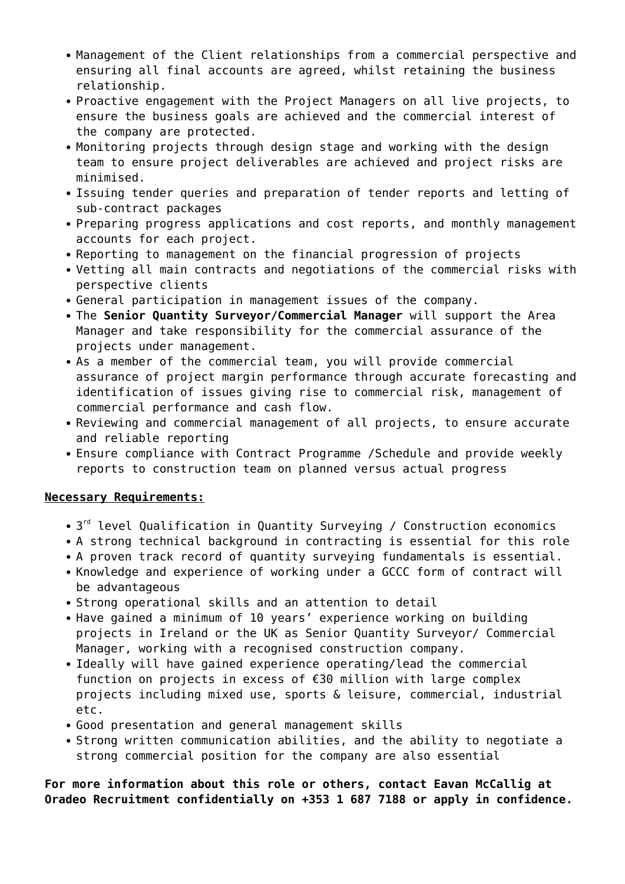- Management of the Client relationships from a commercial perspective and ensuring all final accounts are agreed, whilst retaining the business relationship.
- Proactive engagement with the Project Managers on all live projects, to ensure the business goals are achieved and the commercial interest of the company are protected.
- Monitoring projects through design stage and working with the design team to ensure project deliverables are achieved and project risks are minimised.
- Issuing tender queries and preparation of tender reports and letting of sub-contract packages
- Preparing progress applications and cost reports, and monthly management accounts for each project.
- Reporting to management on the financial progression of projects
- Vetting all main contracts and negotiations of the commercial risks with perspective clients
- General participation in management issues of the company.
- The **Senior Quantity Surveyor/Commercial Manager** will support the Area Manager and take responsibility for the commercial assurance of the projects under management.
- As a member of the commercial team, you will provide commercial assurance of project margin performance through accurate forecasting and identification of issues giving rise to commercial risk, management of commercial performance and cash flow.
- Reviewing and commercial management of all projects, to ensure accurate and reliable reporting
- Ensure compliance with Contract Programme /Schedule and provide weekly reports to construction team on planned versus actual progress

## **Necessary Requirements:**

- 3<sup>rd</sup> level Qualification in Quantity Surveying / Construction economics
- A strong technical background in contracting is essential for this role
- A proven track record of quantity surveying fundamentals is essential.
- Knowledge and experience of working under a GCCC form of contract will be advantageous
- Strong operational skills and an attention to detail
- Have gained a minimum of 10 years' experience working on building projects in Ireland or the UK as Senior Quantity Surveyor/ Commercial Manager, working with a recognised construction company.
- Ideally will have gained experience operating/lead the commercial function on projects in excess of €30 million with large complex projects including mixed use, sports & leisure, commercial, industrial etc.
- Good presentation and general management skills
- Strong written communication abilities, and the ability to negotiate a strong commercial position for the company are also essential

**For more information about this role or others, contact Eavan McCallig at Oradeo Recruitment confidentially on +353 1 687 7188 or apply in confidence.**